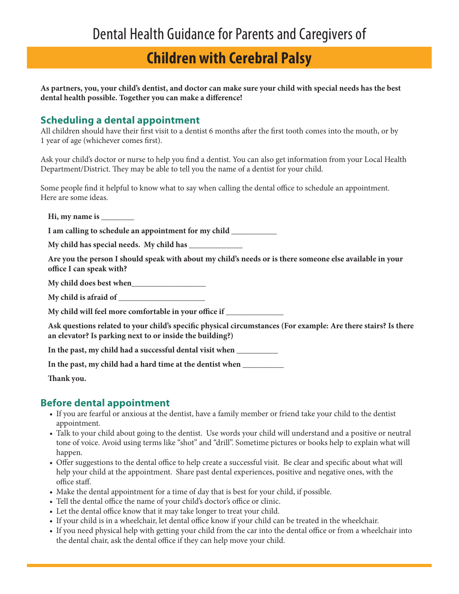# **Children with Cerebral Palsy**

**As partners, you, your child's dentist, and doctor can make sure your child with special needs has the best dental health possible. Together you can make a difference!** 

## **Scheduling a dental appointment**

All children should have their first visit to a dentist 6 months after the first tooth comes into the mouth, or by 1 year of age (whichever comes first).

Ask your child's doctor or nurse to help you find a dentist. You can also get information from your Local Health Department/District. They may be able to tell you the name of a dentist for your child.

Some people find it helpful to know what to say when calling the dental office to schedule an appointment. Here are some ideas.

**Hi, my name is \_\_\_\_\_\_\_\_**

**I am calling to schedule an appointment for my child \_\_\_\_\_\_\_\_\_\_\_**

**My child has special needs. My child has \_\_\_\_\_\_\_\_\_\_\_\_\_**

**Are you the person I should speak with about my child's needs or is there someone else available in your office I can speak with?**

**My child does best when\_\_\_\_\_\_\_\_\_\_\_\_\_\_\_\_\_\_**

**My child is afraid of \_\_\_\_\_\_\_\_\_\_\_\_\_\_\_\_\_\_\_\_\_**

**My child will feel more comfortable in your office if \_\_\_\_\_\_\_\_\_\_\_\_\_\_**

**Ask questions related to your child's specific physical circumstances (For example: Are there stairs? Is there an elevator? Is parking next to or inside the building?)**

**In the past, my child had a successful dental visit when \_\_\_\_\_\_\_\_\_\_**

**In the past, my child had a hard time at the dentist when \_\_\_\_\_\_\_\_\_\_**

**Thank you.** 

### **Before dental appointment**

- If you are fearful or anxious at the dentist, have a family member or friend take your child to the dentist appointment.
- Talk to your child about going to the dentist. Use words your child will understand and a positive or neutral tone of voice. Avoid using terms like "shot" and "drill". Sometime pictures or books help to explain what will happen.
- Offer suggestions to the dental office to help create a successful visit. Be clear and specific about what will help your child at the appointment. Share past dental experiences, positive and negative ones, with the office staff.
- Make the dental appointment for a time of day that is best for your child, if possible.
- Tell the dental office the name of your child's doctor's office or clinic.
- Let the dental office know that it may take longer to treat your child.
- If your child is in a wheelchair, let dental office know if your child can be treated in the wheelchair.
- If you need physical help with getting your child from the car into the dental office or from a wheelchair into the dental chair, ask the dental office if they can help move your child.